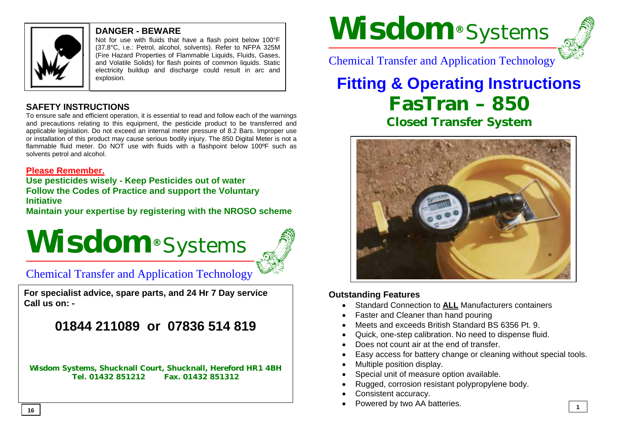

#### **DANGER - BEWARE**

Not for use with fluids that have a flash point below 100°F (37.8°C, i.e.: Petrol, alcohol, solvents). Refer to NFPA 325M (Fire Hazard Properties of Flammable Liquids, Fluids, Gases, and Volatile Solids) for flash points of common liquids. Static electricity buildup and discharge could result in arc and explosion.

#### **SAFETY INSTRUCTIONS**

To ensure safe and efficient operation, it is essential to read and follow each of the warnings and precautions relating to this equipment, the pesticide product to be transferred and applicable legislation. Do not exceed an internal meter pressure of 8.2 Bars. Improper use or installation of this product may cause serious bodily injury. The 850 Digital Meter is not a flammable fluid meter. Do NOT use with fluids with a flashpoint below 100ºF such as solvents petrol and alcohol.

#### **Please Remember.**

**Use pesticides wisely - Keep Pesticides out of water Follow the Codes of Practice and support the Voluntary Initiative**

**Maintain your expertise by registering with the NROSO scheme**

# **Wisdom®** Systems



### Chemical Transfer and Application Technology

**For specialist advice, spare parts, and 24 Hr 7 Day service Call us on: -** 

## **01844 211089 or 07836 514 819**

**Wisdom Systems, Shucknall Court, Shucknall, Hereford HR1 4BH Tel. 01432 851212 Fax. 01432 851312** 

# **Wisdom®** Systems



**1**

Chemical Transfer and Application Technology

# **Fitting & Operating Instructions FasTran – 850 Closed Transfer System**



#### **Outstanding Features**

- Standard Connection to **ALL** Manufacturers containers
- Faster and Cleaner than hand pouring
- Meets and exceeds British Standard BS 6356 Pt. 9.
- Quick, one-step calibration. No need to dispense fluid.
- Does not count air at the end of transfer.
- Easy access for battery change or cleaning without special tools.
- Multiple position display.
- Special unit of measure option available.
- Rugged, corrosion resistant polypropylene body.
- Consistent accuracy.
- Powered by two AA batteries. **16**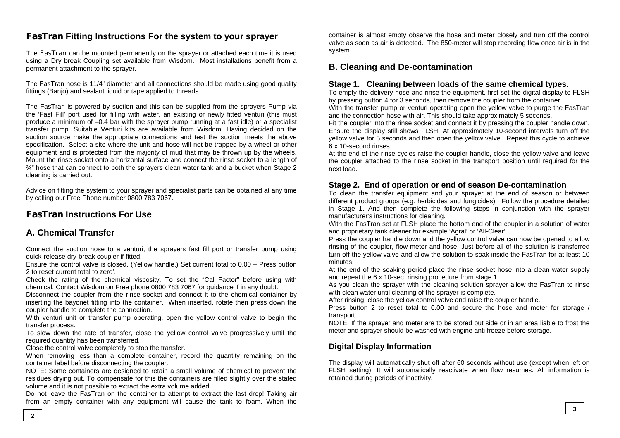#### **FasTran Fitting Instructions For the system to your sprayer**

The FasTran can be mounted permanently on the sprayer or attached each time it is used using a Dry break Coupling set available from Wisdom. Most installations benefit from a permanent attachment to the sprayer.

The FasTran hose is 11/4" diameter and all connections should be made using good quality fittings (Banjo) and sealant liquid or tape applied to threads.

The FasTran is powered by suction and this can be supplied from the sprayers Pump via the 'Fast Fill' port used for filling with water, an existing or newly fitted venturi (this must produce a minimum of –0.4 bar with the sprayer pump running at a fast idle) or a specialist transfer pump. Suitable Venturi kits are available from Wisdom. Having decided on the suction source make the appropriate connections and test the suction meets the above specification. Select a site where the unit and hose will not be trapped by a wheel or other equipment and is protected from the majority of mud that may be thrown up by the wheels. Mount the rinse socket onto a horizontal surface and connect the rinse socket to a length of  $\frac{3}{4}$ " hose that can connect to both the sprayers clean water tank and a bucket when Stage 2 cleaning is carried out.

Advice on fitting the system to your sprayer and specialist parts can be obtained at any time by calling our Free Phone number 0800 783 7067.

#### **FasTran Instructions For Use**

#### **A. Chemical Transfer**

Connect the suction hose to a venturi, the sprayers fast fill port or transfer pump using quick-release dry-break coupler if fitted.

Ensure the control valve is closed. (Yellow handle.) Set current total to 0.00 – Press button 2 to reset current total to zero'.

Check the rating of the chemical viscosity. To set the "Cal Factor" before using with chemical. Contact Wisdom on Free phone 0800 783 7067 for guidance if in any doubt.

Disconnect the coupler from the rinse socket and connect it to the chemical container by inserting the bayonet fitting into the container. When inserted, rotate then press down the coupler handle to complete the connection.

With venturi unit or transfer pump operating, open the yellow control valve to begin the transfer process.

To slow down the rate of transfer, close the yellow control valve progressively until the required quantity has been transferred.

Close the control valve completely to stop the transfer.

When removing less than a complete container, record the quantity remaining on the container label before disconnecting the coupler.

NOTE: Some containers are designed to retain a small volume of chemical to prevent the residues drying out. To compensate for this the containers are filled slightly over the stated volume and it is not possible to extract the extra volume added.

Do not leave the FasTran on the container to attempt to extract the last drop! Taking air from an empty container with any equipment will cause the tank to foam. When the container is almost empty observe the hose and meter closely and turn off the control valve as soon as air is detected. The 850-meter will stop recording flow once air is in the system.

#### **B. Cleaning and De-contamination**

#### **Stage 1. Cleaning between loads of the same chemical types.**

To empty the delivery hose and rinse the equipment, first set the digital display to FLSH by pressing button 4 for 3 seconds, then remove the coupler from the container.

With the transfer pump or venturi operating open the yellow valve to purge the FasTran and the connection hose with air. This should take approximately 5 seconds.

Fit the coupler into the rinse socket and connect it by pressing the coupler handle down. Ensure the display still shows FLSH. At approximately 10-second intervals turn off the yellow valve for 5 seconds and then open the yellow valve. Repeat this cycle to achieve 6 x 10-second rinses.

At the end of the rinse cycles raise the coupler handle, close the yellow valve and leave the coupler attached to the rinse socket in the transport position until required for the next load.

#### **Stage 2. End of operation or end of season De-contamination**

To clean the transfer equipment and your sprayer at the end of season or between different product groups (e.g. herbicides and fungicides). Follow the procedure detailed in Stage 1. And then complete the following steps in conjunction with the sprayer manufacturer's instructions for cleaning.

With the FasTran set at FLSH place the bottom end of the coupler in a solution of water and proprietary tank cleaner for example 'Agral' or 'All-Clear'

Press the coupler handle down and the yellow control valve can now be opened to allow rinsing of the coupler, flow meter and hose. Just before all of the solution is transferred turn off the yellow valve and allow the solution to soak inside the FasTran for at least 10 minutes.

At the end of the soaking period place the rinse socket hose into a clean water supply and repeat the 6 x 10-sec. rinsing procedure from stage 1.

As you clean the sprayer with the cleaning solution sprayer allow the FasTran to rinse with clean water until cleaning of the sprayer is complete.

After rinsing, close the yellow control valve and raise the coupler handle.

Press button 2 to reset total to 0.00 and secure the hose and meter for storage / transport.

NOTE: If the sprayer and meter are to be stored out side or in an area liable to frost the meter and sprayer should be washed with engine anti freeze before storage.

#### **Digital Display Information**

The display will automatically shut off after 60 seconds without use (except when left on FLSH setting). It will automatically reactivate when flow resumes. All information is retained during periods of inactivity.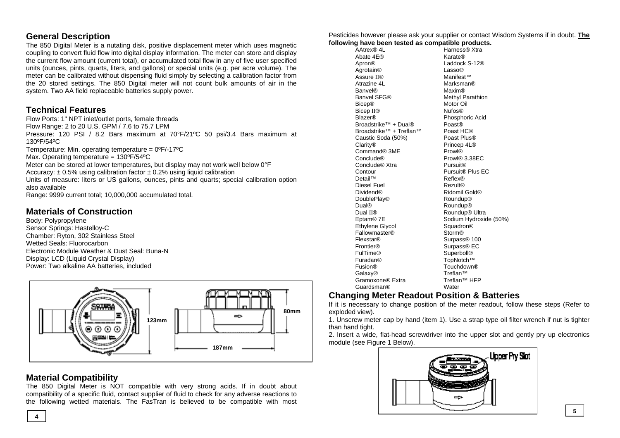#### **General Description**

The 850 Digital Meter is a nutating disk, positive displacement meter which uses magnetic coupling to convert fluid flow into digital display information. The meter can store and display the current flow amount (current total), or accumulated total flow in any of five user specified units (ounces, pints, quarts, liters, and gallons) or special units (e.g. per acre volume). The meter can be calibrated without dispensing fluid simply by selecting a calibration factor from the 20 stored settings. The 850 Digital meter will not count bulk amounts of air in the system. Two AA field replaceable batteries supply power.

#### **Technical Features**

Flow Ports: 1" NPT inlet/outlet ports, female threads Flow Range: 2 to 20 U.S. GPM / 7.6 to 75.7 LPM Pressure: 120 PSI / 8.2 Bars maximum at 70°F/21ºC 50 psi/3.4 Bars maximum at 130ºF/54ºC Temperature: Min. operating temperature =  $0^{\circ}F/-17^{\circ}C$ Max. Operating temperature = 130ºF/54ºC Meter can be stored at lower temperatures, but display may not work well below 0°F Accuracy:  $\pm$  0.5% using calibration factor  $\pm$  0.2% using liquid calibration Units of measure: liters or US gallons, ounces, pints and quarts; special calibration option also available

Range: 9999 current total; 10,000,000 accumulated total.

#### **Materials of Construction**

Body: Polypropylene Sensor Springs: Hastelloy-C Chamber: Ryton, 302 Stainless Steel Wetted Seals: Fluorocarbon Electronic Module Weather & Dust Seal: Buna-N Display: LCD (Liquid Crystal Display) Power: Two alkaline AA batteries, included



#### **Material Compatibility**

The 850 Digital Meter is NOT compatible with very strong acids. If in doubt about compatibility of a specific fluid, contact supplier of fluid to check for any adverse reactions to the following wetted materials. The FasTran is believed to be compatible with most

Pesticides however please ask your supplier or contact Wisdom Systems if in doubt. **The following have been tested as compatible products.**

| owing nave been tested as compatible products. |                              |
|------------------------------------------------|------------------------------|
| AAtrex <sup>®</sup> 4L                         | Harness® Xtra                |
| Abate 4E®                                      | Karate®                      |
| Apron®                                         | Laddock S-12®                |
| Agrotain <sup>®</sup>                          | Lasso®                       |
| Assure II®                                     | Manifest™                    |
| Atrazine 4L                                    | Marksman®                    |
| <b>Banvel®</b>                                 | Maxim®                       |
| Banvel SFG®                                    | Methyl Parathion             |
| <b>Bicep®</b>                                  | Motor Oil                    |
| Bicep II <sup>®</sup>                          | <b>Nufos®</b>                |
| <b>Blazer®</b>                                 | Phosphoric Acid              |
| Broadstrike <sup>™</sup> + Dual®               | Poast®                       |
| Broadstrike <sup>™</sup> + Treflan™            | Poast HC®                    |
| Caustic Soda (50%)                             | Poast Plus®                  |
| Clarity®                                       | Princep 4L®                  |
| Command <sup>®</sup> 3ME                       | Prowl®                       |
| Conclude®                                      | Prowl® 3.38EC                |
| Conclude <sup>®</sup> Xtra                     | Pursuit <sup>®</sup>         |
| Contour                                        | Pursuit <sup>®</sup> Plus EC |
| Detail™                                        | Reflex®                      |
| Diesel Fuel                                    | Rezult®                      |
| <b>Dividend®</b>                               | Ridomil Gold®                |
| DoublePlay®                                    | Roundup®                     |
| <b>Dual®</b>                                   | Roundup®                     |
| Dual II <sup>®</sup>                           | Roundup <sup>®</sup> Ultra   |
| Eptam <sup>®</sup> 7E                          | Sodium Hydroxide (50%)       |
| <b>Ethylene Glycol</b>                         | Squadron®                    |
| Fallowmaster®                                  | <b>Storm®</b>                |
| Flexstar®                                      | Surpass <sup>®</sup> 100     |
| Frontier®                                      | Surpass <sup>®</sup> EC      |
| <b>FulTime®</b>                                | Superboll®                   |
| Furadan <sup>®</sup>                           | TopNotch™                    |
| Fusion®                                        | Touchdown®                   |
| Galaxy®                                        | Treflan™                     |
| Gramoxone® Extra                               | Treflan™ HFP                 |
| Guardsman®                                     | Water                        |

#### **Changing Meter Readout Position & Batteries**

If it is necessary to change position of the meter readout, follow these steps (Refer to exploded view).

1. Unscrew meter cap by hand (item 1). Use a strap type oil filter wrench if nut is tighter than hand tight.

2. Insert a wide, flat-head screwdriver into the upper slot and gently pry up electronics module (see Figure 1 Below).

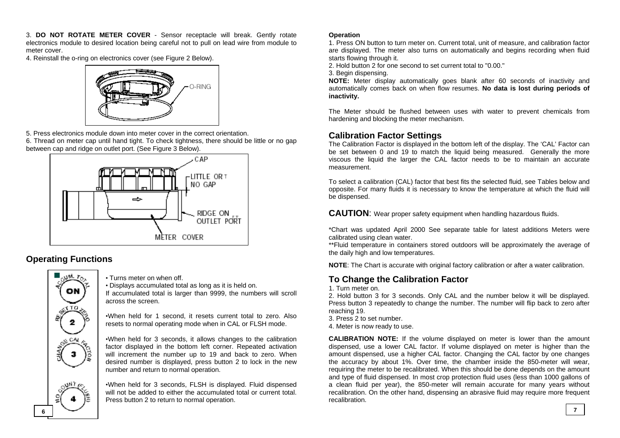3. **DO NOT ROTATE METER COVER** - Sensor receptacle will break. Gently rotate electronics module to desired location being careful not to pull on lead wire from module to meter cover.

4. Reinstall the o-ring on electronics cover (see Figure 2 Below).



5. Press electronics module down into meter cover in the correct orientation.

6. Thread on meter cap until hand tight. To check tightness, there should be little or no gap between cap and ridge on outlet port. (See Figure 3 Below).



#### **Operating Functions**



• Turns meter on when off.

• Displays accumulated total as long as it is held on. If accumulated total is larger than 9999, the numbers will scroll across the screen.

•When held for 1 second, it resets current total to zero. Also resets to normal operating mode when in CAL or FLSH mode.

•When held for 3 seconds, it allows changes to the calibration factor displayed in the bottom left corner. Repeated activation will increment the number up to 19 and back to zero. When desired number is displayed, press button 2 to lock in the new number and return to normal operation.

•When held for 3 seconds, FLSH is displayed. Fluid dispensed will not be added to either the accumulated total or current total. Press button 2 to return to normal operation.

#### **Operation**

1. Press ON button to turn meter on. Current total, unit of measure, and calibration factor are displayed. The meter also turns on automatically and begins recording when fluid starts flowing through it.

2. Hold button 2 for one second to set current total to "0.00."

3. Begin dispensing.

**NOTE:** Meter display automatically goes blank after 60 seconds of inactivity and automatically comes back on when flow resumes. **No data is lost during periods of inactivity.** 

The Meter should be flushed between uses with water to prevent chemicals from hardening and blocking the meter mechanism.

#### **Calibration Factor Settings**

The Calibration Factor is displayed in the bottom left of the display. The 'CAL' Factor can be set between 0 and 19 to match the liquid being measured. Generally the more viscous the liquid the larger the CAL factor needs to be to maintain an accurate measurement.

To select a calibration (CAL) factor that best fits the selected fluid, see Tables below and opposite. For many fluids it is necessary to know the temperature at which the fluid will be dispensed.

**CAUTION**: Wear proper safety equipment when handling hazardous fluids.

\*Chart was updated April 2000 See separate table for latest additions Meters were calibrated using clean water.

\*\*Fluid temperature in containers stored outdoors will be approximately the average of the daily high and low temperatures.

**NOTE**: The Chart is accurate with original factory calibration or after a water calibration.

#### **To Change the Calibration Factor**

1. Turn meter on.

2. Hold button 3 for 3 seconds. Only CAL and the number below it will be displayed. Press button 3 repeatedly to change the number. The number will flip back to zero after reaching 19.

3. Press 2 to set number.

4. Meter is now ready to use.

**CALIBRATION NOTE:** If the volume displayed on meter is lower than the amount dispensed, use a lower CAL factor. If volume displayed on meter is higher than the amount dispensed, use a higher CAL factor. Changing the CAL factor by one changes the accuracy by about 1%. Over time, the chamber inside the 850-meter will wear, requiring the meter to be recalibrated. When this should be done depends on the amount and type of fluid dispensed. In most crop protection fluid uses (less than 1000 gallons of a clean fluid per year), the 850-meter will remain accurate for many years without recalibration. On the other hand, dispensing an abrasive fluid may require more frequent recalibration.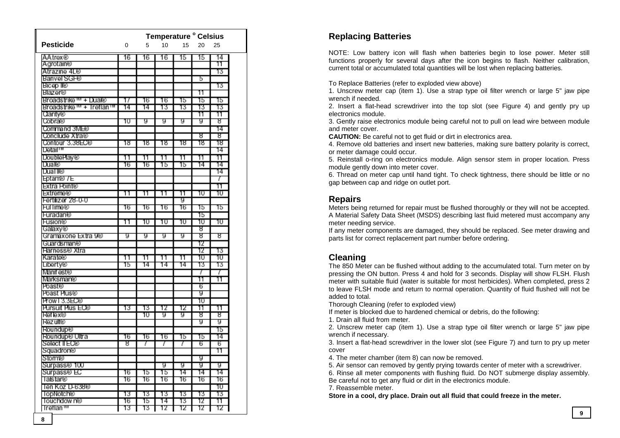|                           | <b>Temperature ° Celsius</b> |    |    |          |     |     |  |
|---------------------------|------------------------------|----|----|----------|-----|-----|--|
| <b>Pesticide</b>          | 0                            | 5  | 10 | 15       | 20  | 25  |  |
| AAtrex®                   | 16                           | 16 | 16 | 15       | 15  | 14  |  |
| Agrotain®                 |                              |    |    |          |     | 11  |  |
| Atrazine 4L®              |                              |    |    |          |     | 13  |  |
| Banvel SGF®               |                              |    |    |          | 5   |     |  |
| Bicep ll®                 |                              |    |    |          |     | 13  |  |
| <b>Blazer®</b>            |                              |    |    |          | 11  |     |  |
| Broadstrike *** + Dual®   | 17                           | 16 | 16 | 15       | 15  | 15  |  |
| Broadstrike W + Treflan W | 14                           | 14 | 13 | 13       | 13  | 13  |  |
| (Jarity®                  |                              |    |    |          | 11  | 11  |  |
| Cobra®                    | π                            | g  | g  | g        | g   | ष्ठ |  |
| Command 3MH <sup>®</sup>  |                              |    |    |          |     | 14  |  |
| Conclude Xtra®            |                              |    |    |          | 8   | 8   |  |
| Contour 3.38EC®           | 18                           | 18 | 18 | 18       | 18  | 18  |  |
| Detail™                   |                              |    |    |          |     | 14  |  |
| DoublePlay®               | 11                           | 11 | 11 | 11       | 11  | 11  |  |
| Lua®                      | 16                           | 16 | 15 | 15       | 14  | 14  |  |
| L\ual ll®                 |                              |    |    |          |     | 14  |  |
| Eptam® / E                |                              |    |    |          |     | 7   |  |
| Extra Point®              |                              |    |    |          |     | 11  |  |
| Extreme®                  | 11                           | 11 | 11 | 11       | 10  | 10  |  |
| Fertilizer 28-0-0         |                              |    |    | g        |     |     |  |
| <b>Fullime®</b>           | 16                           | 16 | 16 | 16       | 15  | 15  |  |
| <b>Huradan®</b>           |                              |    |    |          | 15  |     |  |
| <b>Husion®</b>            | 11                           | 10 | 10 | 10       | 10  | 10  |  |
| Galaxy®                   |                              |    |    |          | 8   |     |  |
| Gramaxone Extra 98        | g                            | g  | g  | g        | ष्ठ | ष्ठ |  |
| Guardsman®                |                              |    |    |          | 12  |     |  |
| Harness® Xtra             |                              |    |    |          | 12  | 13  |  |
| Karate®                   | 11                           | 11 | 11 | 11       | 10  | 10  |  |
| Liberty®                  | 15                           | 14 | 14 | 14       | 13  | 13  |  |
| Manifest®                 |                              |    |    |          | 7   | 7   |  |
| Marksman®                 |                              |    |    |          | 11  | 11  |  |
| Poast®                    |                              |    |    |          | 6   |     |  |
| Poast Hus®                |                              |    |    |          | g   |     |  |
| Prowl 3.3EC®              |                              |    |    |          | 10  |     |  |
| Pursuit Plus EO®          | 13                           | 13 | 12 | 12       | 11  | 11  |  |
| <b>Het lex®</b>           |                              | 10 | g  | g        | 8   | 8   |  |
| <b>Hezult®</b>            |                              |    |    |          | g   | g   |  |
| <b>Roundup®</b>           |                              |    |    |          |     | 15  |  |
| Houndup® Ultra            | 16                           | 16 | 16 | 15       | 15  | 14  |  |
| Select II EO®             | 8                            | 7  | 7  | 7        | 6   | 6   |  |
| Squadron®                 |                              |    |    |          |     | 11  |  |
|                           |                              |    |    |          |     |     |  |
| Storm®                    |                              |    |    |          | g   |     |  |
| Surpass® 100              |                              |    | g  | g        | g   | g   |  |
| Surpass® EC               | 16                           | 15 | 15 | 14<br>16 | 14  | 14  |  |
| lastar®                   | 16                           | 16 | 16 |          | 16  | 16  |  |
| len Koz L⊦638®            |                              |    |    |          |     | 10  |  |
| lopNotch®                 | 13                           | 13 | 13 | 13       | 13  | 13  |  |
| louchdow n®               | 16                           | 15 | 14 | 13       | 12  | 11  |  |
| Treflan™<br>ጉ             | 13                           | 13 | 12 | 12       | 12  | 12  |  |

#### **Replacing Batteries**

NOTE: Low battery icon will flash when batteries begin to lose power. Meter still functions properly for several days after the icon begins to flash. Neither calibration, current total or accumulated total quantities will be lost when replacing batteries.

To Replace Batteries (refer to exploded view above)

1. Unscrew meter cap (item 1). Use a strap type oil filter wrench or large 5" jaw pipe wrench if needed.

2. Insert a flat-head screwdriver into the top slot (see Figure 4) and gently pry up electronics module.

3. Gently raise electronics module being careful not to pull on lead wire between module and meter cover.

**CAUTION:** Be careful not to get fluid or dirt in electronics area.

4. Remove old batteries and insert new batteries, making sure battery polarity is correct, or meter damage could occur.

5. Reinstall o-ring on electronics module. Align sensor stem in proper location. Press module gently down into meter cover.

6. Thread on meter cap until hand tight. To check tightness, there should be little or no gap between cap and ridge on outlet port.

#### **Repairs**

Meters being returned for repair must be flushed thoroughly or they will not be accepted. A Material Safety Data Sheet (MSDS) describing last fluid metered must accompany any meter needing service.

If any meter components are damaged, they should be replaced. See meter drawing and parts list for correct replacement part number before ordering.

#### **Cleaning**

The 850 Meter can be flushed without adding to the accumulated total. Turn meter on by pressing the ON button. Press 4 and hold for 3 seconds. Display will show FLSH. Flush meter with suitable fluid (water is suitable for most herbicides). When completed, press 2 to leave FLSH mode and return to normal operation. Quantity of fluid flushed will not be added to total.

Thorough Cleaning (refer to exploded view)

If meter is blocked due to hardened chemical or debris, do the following:

1. Drain all fluid from meter.

2. Unscrew meter cap (item 1). Use a strap type oil filter wrench or large 5" jaw pipe wrench if necessary.

3. Insert a flat-head screwdriver in the lower slot (see Figure 7) and turn to pry up meter cover

4. The meter chamber (item 8) can now be removed.

5. Air sensor can removed by gently prying towards center of meter with a screwdriver.

6. Rinse all meter components with flushing fluid. Do NOT submerge display assembly. Be careful not to get any fluid or dirt in the electronics module.

7. Reassemble meter.

**Store in a cool, dry place. Drain out all fluid that could freeze in the meter.**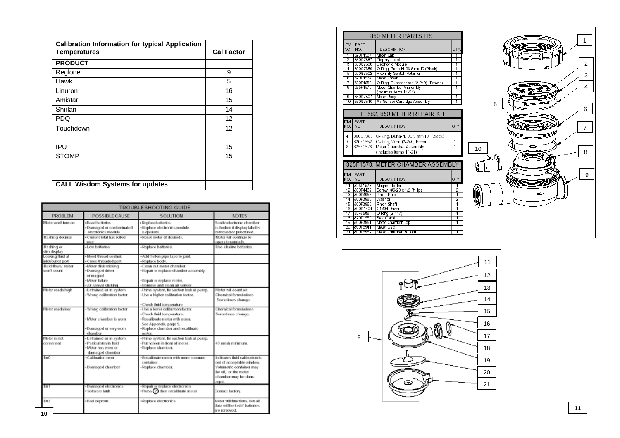| <b>Calibration Information for typical Application</b> |                   |
|--------------------------------------------------------|-------------------|
| <b>Temperatures</b>                                    | <b>Cal Factor</b> |
| <b>PRODUCT</b>                                         |                   |
| Reglone                                                | 9                 |
| Hawk                                                   | 5                 |
| Linuron                                                | 16                |
| Amistar                                                | 15                |
| Shirlan                                                | 14                |
| <b>PDQ</b>                                             | 12                |
| Touchdown                                              | 12                |
|                                                        |                   |
| IPU                                                    | 15                |
| <b>STOMP</b>                                           | 15                |
|                                                        |                   |
|                                                        |                   |
| <b>CALL Wisdom Systems for updates</b>                 |                   |

|                                       |                                                                                                  | TROUBLESHOOTING GUIDE                                                                                                                                                                                |                                                                                                                                                 |
|---------------------------------------|--------------------------------------------------------------------------------------------------|------------------------------------------------------------------------------------------------------------------------------------------------------------------------------------------------------|-------------------------------------------------------------------------------------------------------------------------------------------------|
| PROBLEM                               | POSSIBLE CAUSE                                                                                   | SOLUTION                                                                                                                                                                                             | <b>NOTES</b>                                                                                                                                    |
| no mul freew volof                    | ·Doad battories.<br>·Damaged or contaminated<br>electronics module                               | · Replace batteries.<br>· Replace electronics module<br>& cursions.                                                                                                                                  | Soalto electronic chamber<br>is broken if display label is<br>removed or punctured.                                                             |
| Flashing docimal                      | · Current total has rolled<br>ovor                                                               | ·Roset meter @ desired).                                                                                                                                                                             | Motor will continue to<br>operate normally.                                                                                                     |
| Flashing or<br>dim display            | . Low batteries                                                                                  | · Replace batteries.                                                                                                                                                                                 | Use alkaline batteries.                                                                                                                         |
| Leaking fluid at<br>inict/outlet port | . Nood throad soalant<br>· Cross-throaded port                                                   | . Add Teflon pipe tape to joint.<br>·Replace body.                                                                                                                                                   |                                                                                                                                                 |
| Fluid flows; meter<br>won't count.    | «Meter disk sticking<br>·Damaged driver<br>or magnet<br>· Motor failure<br>· Air sensor sticking | .Clean out motor chamber.<br>. Repair or replace chamber assembly,<br>·Repair or replace meter.<br>· Remove and clean air sensor                                                                     |                                                                                                                                                 |
| Motor roads high                      | .Entrained air in system<br>· Wrong calibration factor                                           | · Prime system, fix suction leak at pump.<br>. Use a higher calibration factor.                                                                                                                      | Motor will count air.<br>Chemical formulations.<br>Sometimes change.                                                                            |
| Meter reads low                       | · Wrong calibration factor<br>· Motor chambor is worn<br>. Damaged or very worn<br>chambor       | -Check fluid temperature<br>- Use a lower calibration factor.<br>.Check fluid temperature.<br>· Rocalibrate meter with water.<br>See Appendix, page 9.<br>· Replace chamber and recalibrate<br>motor | Chemical formulations.<br>Sometimos chango.                                                                                                     |
| Motor is not<br>consistent            | ·Entrained air in system<br>· Particulates in fluid<br>. Motor has worn or<br>damaged chamber    | · Prime system, fix suction leak at pump.<br>.Put screen in front of meter.<br>·Replace chamber.                                                                                                     | 40 mosh minimum.                                                                                                                                |
| EmD                                   | .Calibration error<br>·Damaged chamber                                                           | · Recalibrate meter with more accurate<br>container.<br>·Replace chamber.                                                                                                                            | Indicates fluid calibration is<br>out of acceptable window.<br>Volumetric container may<br>be off. or the meter<br>chamber may be dam-<br>aged. |
| EmT                                   | ·Damaged electronics<br>Software fault                                                           | . Repair or replace electronics.<br>$\cdot$ Press $\Omega$ then recalibrate meter                                                                                                                    | Contact factory.                                                                                                                                |
| Em <sub>2</sub><br>10                 | · Bad coprom                                                                                     | ·Replace electronics                                                                                                                                                                                 | Motor still functions, but all<br>data will be lost if batteries.<br>are removed.                                                               |

|             |                      | 850 METER PARTS LIST                             |            |
|-------------|----------------------|--------------------------------------------------|------------|
| ITM.<br>NO. | PART<br>NO.          | <b>DESCRIPTION</b>                               | <b>QTY</b> |
|             | 8201-1537            | Meter Cap                                        |            |
| 2           | 850G7887             | Display Label                                    | ī          |
| 3           | 850G7888             | <b>Electronic Module</b>                         | 1          |
| 4           | 800G7389             | O-Ring, Buna-N, 96.5 mm ID (Black)               | ī          |
| 5           | 850G7802             | Proximity Switch Retainer                        | ī          |
| 6           | 8201-1534            | Meter Cover                                      | 1          |
| 7           | 820F1552             | O-Ring, Fluorocarbon (2-240) (Brow n)            | 1          |
| 8           | 825F1578             | Meter Chamber Assembly<br>(Includes items 11-21) | 1          |
| 9           | 850G7807             | Meter Body                                       | 1          |
| 10          | 850G7810             | Air Sensor Cartridge Assembly                    | 1          |
|             |                      |                                                  |            |
|             |                      | F1582, 850 METER REPAIR KIT                      |            |
| ITM.<br>NO. | PART<br>NO.          | DESCRIPTION                                      | QTY.       |
| 4           | 800G7389             | O-Ring, Buna-N, 96.5 mm ID (Black)               | 1          |
| 7           | 820F1552             | O-Ring, Viton (2-240, Brown)                     | 1          |
| 8           | 825F1578             | Meter Chamber Assembly                           | 1          |
|             |                      |                                                  |            |
|             |                      | (Includes items 11-21)                           |            |
|             |                      | 825F1578, METER CHAMBER ASSEMBLY                 |            |
|             |                      |                                                  |            |
| ITM.        | PART                 |                                                  |            |
| NO.         | NO.                  | <b>DESCRIPTION</b>                               | QTY.       |
|             |                      | Magnet Holder                                    | 1          |
|             |                      |                                                  |            |
| 11          | 825F1577             |                                                  |            |
| 12          | 800F4439             | Screw . #6-20 x 1/2 Philips                      | 2          |
| 13          | 800F3955             | Pinion Plate                                     | 1          |
| 14          | 800F3980             | Washer                                           | 2          |
| 15          | 800F3965             | Pinion Shaft                                     | 1          |
| 16          | 800G1304             | G1304 Driver                                     | 1          |
| 17          | 35F6588              | O-Ring (2-117)                                   | 1          |
| 18          | 820F1550             | Seal Gland                                       | ī          |
| 19          | 800F3951             | Meter Chamber Top                                | 1          |
| 20<br>21    | 800F3941<br>800F3952 | Meter Disc<br>Meter Chamber Bottom               | 1<br>ī     |



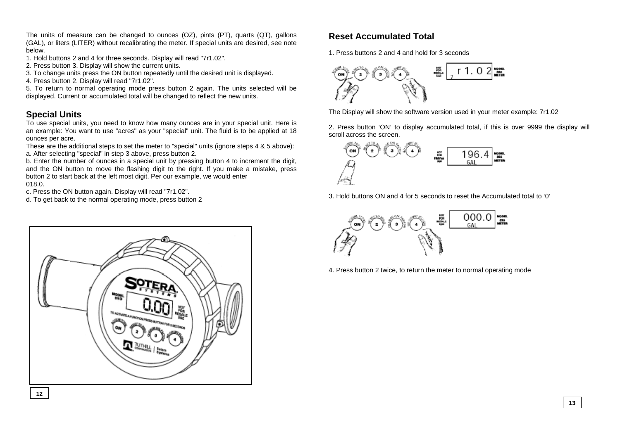The units of measure can be changed to ounces (OZ), pints (PT), quarts (QT), gallons (GAL), or liters (LITER) without recalibrating the meter. If special units are desired, see note below.

- 1. Hold buttons 2 and 4 for three seconds. Display will read "7r1.02".
- 2. Press button 3. Display will show the current units.
- 3. To change units press the ON button repeatedly until the desired unit is displayed.
- 4. Press button 2. Display will read "7r1.02".

5. To return to normal operating mode press button 2 again. The units selected will be displayed. Current or accumulated total will be changed to reflect the new units.

#### **Special Units**

To use special units, you need to know how many ounces are in your special unit. Here is an example: You want to use "acres" as your "special" unit. The fluid is to be applied at 18 ounces per acre.

These are the additional steps to set the meter to "special" units (ignore steps 4 & 5 above): a. After selecting "special" in step 3 above, press button 2.

b. Enter the number of ounces in a special unit by pressing button 4 to increment the digit, and the ON button to move the flashing digit to the right. If you make a mistake, press button 2 to start back at the left most digit. Per our example, we would enter 018.0.

c. Press the ON button again. Display will read "7r1.02".

d. To get back to the normal operating mode, press button 2



#### **Reset Accumulated Total**

1. Press buttons 2 and 4 and hold for 3 seconds



The Display will show the software version used in your meter example: 7r1.02

2. Press button 'ON' to display accumulated total, if this is over 9999 the display will scroll across the screen.



3. Hold buttons ON and 4 for 5 seconds to reset the Accumulated total to '0'



4. Press button 2 twice, to return the meter to normal operating mode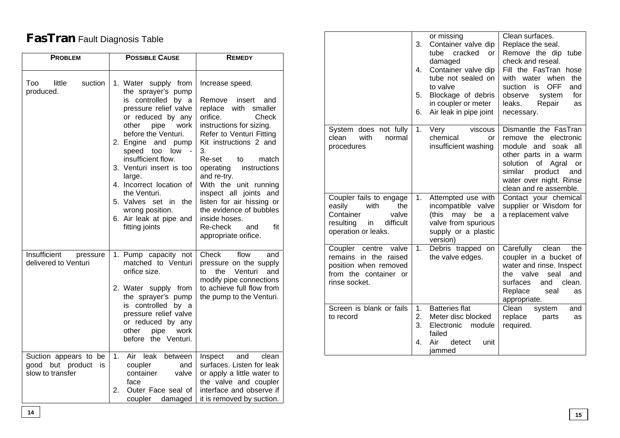## **FasTran** Fault Diagnosis Table

| <b>PROBLEM</b>                                                      | <b>POSSIBLE CAUSE</b>                                                                                                                                                                                                                                                                                                                                                                                             | <b>REMEDY</b>                                                                                                                                                                                                                                                                                                                                                                                                                         |  |  |
|---------------------------------------------------------------------|-------------------------------------------------------------------------------------------------------------------------------------------------------------------------------------------------------------------------------------------------------------------------------------------------------------------------------------------------------------------------------------------------------------------|---------------------------------------------------------------------------------------------------------------------------------------------------------------------------------------------------------------------------------------------------------------------------------------------------------------------------------------------------------------------------------------------------------------------------------------|--|--|
| suction<br>Too<br>little<br>produced.                               | 1. Water supply from<br>the sprayer's pump<br>is controlled by a<br>pressure relief valve<br>or reduced by any<br>other<br>pipe<br>work<br>before the Venturi.<br>2. Engine<br>and pump<br>low<br>speed too<br>insufficient flow.<br>3. Venturi insert is too<br>large.<br>4. Incorrect location of<br>the Venturi.<br>5. Valves<br>set in<br>the<br>wrong position.<br>6. Air leak at pipe and<br>fitting joints | Increase speed.<br>Remove<br>insert<br>and<br>replace with<br>smaller<br>orifice.<br>Check<br>instructions for sizing.<br>Refer to Venturi Fitting<br>Kit instructions 2 and<br>3.<br>Re-set<br>to<br>match<br>operating<br>instructions<br>and re-try.<br>With the unit running<br>inspect all joints and<br>listen for air hissing or<br>the evidence of bubbles<br>inside hoses.<br>Re-check<br>fit<br>and<br>appropriate orifice. |  |  |
| <b>Insufficient</b><br>pressure<br>delivered to Venturi             | 1. Pump capacity not<br>matched to Venturi<br>orifice size.<br>2. Water supply from<br>the sprayer's pump<br>is controlled by a<br>pressure relief valve<br>or reduced by any<br>other<br>pipe<br>work<br>before the Venturi.                                                                                                                                                                                     | Check<br>flow<br>and<br>pressure on the supply<br>Venturi<br>to<br>the<br>and<br>modify pipe connections<br>to achieve full flow from<br>the pump to the Venturi.                                                                                                                                                                                                                                                                     |  |  |
| Suction appears to be<br>good but product<br>is<br>slow to transfer | 1.<br>Air leak<br>between<br>coupler<br>and<br>container<br>valve<br>face<br>2.<br>Outer Face seal of<br>coupler<br>damaged                                                                                                                                                                                                                                                                                       | clean<br>Inspect<br>and<br>surfaces. Listen for leak<br>or apply a little water to<br>the valve and coupler<br>interface and observe if<br>it is removed by suction.                                                                                                                                                                                                                                                                  |  |  |

|                                                                                                                               | 3.<br>4.<br>5.<br>6. | or missing<br>Container valve dip<br>cracked<br>tube<br>or<br>damaged<br>Container valve dip<br>tube not sealed on<br>to valve<br>Blockage of debris<br>in coupler or meter<br>Air leak in pipe joint | Clean surfaces.<br>Replace the seal.<br>Remove the dip tube<br>check and reseal.<br>Fill the FasTran hose<br>with water<br>when<br>the<br><b>OFF</b><br>suction<br>is<br>and<br>for<br>observe<br>system<br>leaks.<br>Repair<br>as<br>necessary. |
|-------------------------------------------------------------------------------------------------------------------------------|----------------------|-------------------------------------------------------------------------------------------------------------------------------------------------------------------------------------------------------|--------------------------------------------------------------------------------------------------------------------------------------------------------------------------------------------------------------------------------------------------|
| System does not fully<br>with<br>clean<br>normal<br>procedures                                                                | 1.                   | viscous<br>Very<br>chemical<br>or<br>insufficient washing                                                                                                                                             | Dismantle the FasTran<br>remove the electronic<br>and<br>module<br>soak all<br>other parts in a warm<br>of<br>solution<br>Agral<br>or<br>similar<br>product<br>and<br>water over night. Rinse<br>clean and re assemble.                          |
| Coupler fails to engage<br>with<br>easily<br>the<br>Container<br>valve<br>difficult<br>resulting<br>in<br>operation or leaks. | 1.                   | Attempted use with<br>incompatible valve<br>(this<br>may<br>be<br>a<br>valve from spurious<br>supply or a plastic<br>version)                                                                         | Contact your chemical<br>supplier or Wisdom for<br>a replacement valve                                                                                                                                                                           |
| valve<br>Coupler<br>centre<br>remains<br>in the<br>raised<br>position when removed<br>from the container or<br>rinse socket.  | 1.                   | Debris trapped on<br>the valve edges.                                                                                                                                                                 | Carefully<br>clean<br>the<br>coupler in a bucket of<br>water and rinse. Inspect<br>valve<br>the<br>seal<br>and<br>surfaces<br>and<br>clean.<br>Replace<br>seal<br>as<br>appropriate.                                                             |
| Screen is blank or fails<br>to record                                                                                         | 1.<br>2.<br>3.<br>4. | <b>Batteries flat</b><br>Meter disc blocked<br>module<br>Electronic<br>failed<br>Air<br>detect<br>unit<br>iammed                                                                                      | Clean<br>system<br>and<br>replace<br>parts<br>as<br>required.                                                                                                                                                                                    |